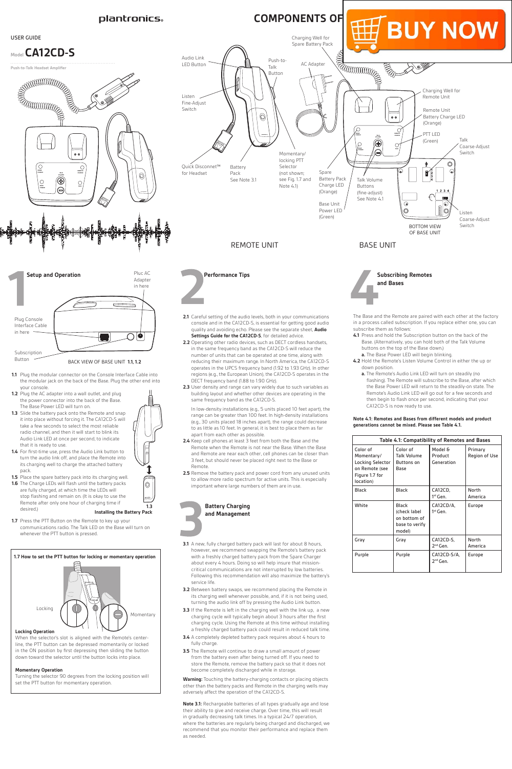**1.7** Press the PTT Button on the Remote to key up your communications radio. The Talk LED on the Base will turn on

#### whenever the PTT button is pressed

#### **Locking Operation**

When the selector's slot is aligned with the Remote's centerline, the PTT button can be depressed momentarily or locked in the ON position by first depressing then sliding the button down toward the selector until the button locks into place.

# **Momentary Operation**

Turning the selector 90 degrees from the locking position will set the PTT button for momentary operation.





- **3.1** A new, fully charged battery pack will last for about 8 hours, however, we recommend swapping the Remote's battery pack with a freshly charged battery pack from the Spare Charger about every 4 hours. Doing so will help insure that missioncritical communications are not interrupted by low batteries. Following this recommendation will also maximize the battery's service life.
- **3.2** Between battery swaps, we recommend placing the Remote in its charging well whenever possible, and, if it is not being used, turning the audio link off by pressing the Audio Link button.
- **3.3** If the Remote is left in the charging well with the link up, a new charging cycle will typically begin about 3 hours after the first charging cycle. Using the Remote at this time without installing a freshly charged battery pack could result in reduced talk time.
- **3.4** A completely depleted battery pack requires about 4 hours to fully charge.
- **3.5** The Remote will continue to draw a small amount of power from the battery even after being turned off. If you need to store the Remote, remove the battery pack so that it does not become completely discharged while in storage.

**Warning:** Touching the battery-charging contacts or placing objects other than the battery packs and Remote in the charging wells may adversely affect the operation of the CA12CD-S.

**Note 3.1:** Rechargeable batteries of all types gradually age and lose their ability to give and receive charge. Over time, this will result in gradually decreasing talk times. In a typical 24/7 operation, where the batteries are regularly being charged and discharged, we recommend that you monitor their performance and replace them as needed.



on bottom of base to verify model)

|  | Grav   | Gray   | CA12CD-S.<br>2 <sup>nd</sup> Gen.   | North<br>America |
|--|--------|--------|-------------------------------------|------------------|
|  | Purple | Purple | CA12CD-S/A,<br>2 <sup>nd</sup> Gen. | Europe           |